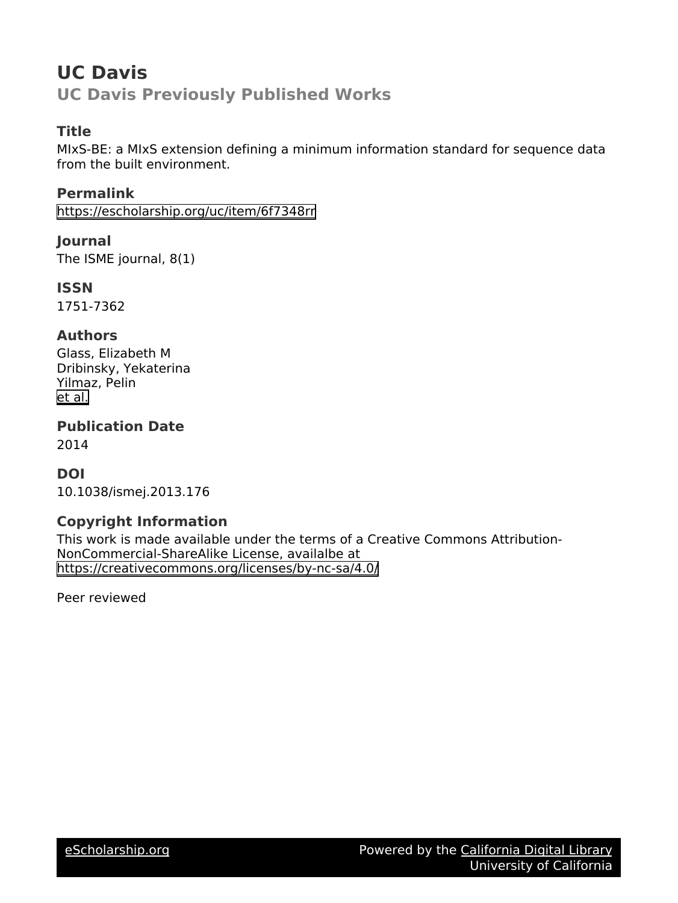# **UC Davis UC Davis Previously Published Works**

# **Title**

MIxS-BE: a MIxS extension defining a minimum information standard for sequence data from the built environment.

**Permalink** <https://escholarship.org/uc/item/6f7348rr>

**Journal** The ISME journal, 8(1)

**ISSN** 1751-7362

## **Authors**

Glass, Elizabeth M Dribinsky, Yekaterina Yilmaz, Pelin [et al.](https://escholarship.org/uc/item/6f7348rr#author)

**Publication Date** 2014

# **DOI**

10.1038/ismej.2013.176

# **Copyright Information**

This work is made available under the terms of a Creative Commons Attribution-NonCommercial-ShareAlike License, availalbe at <https://creativecommons.org/licenses/by-nc-sa/4.0/>

Peer reviewed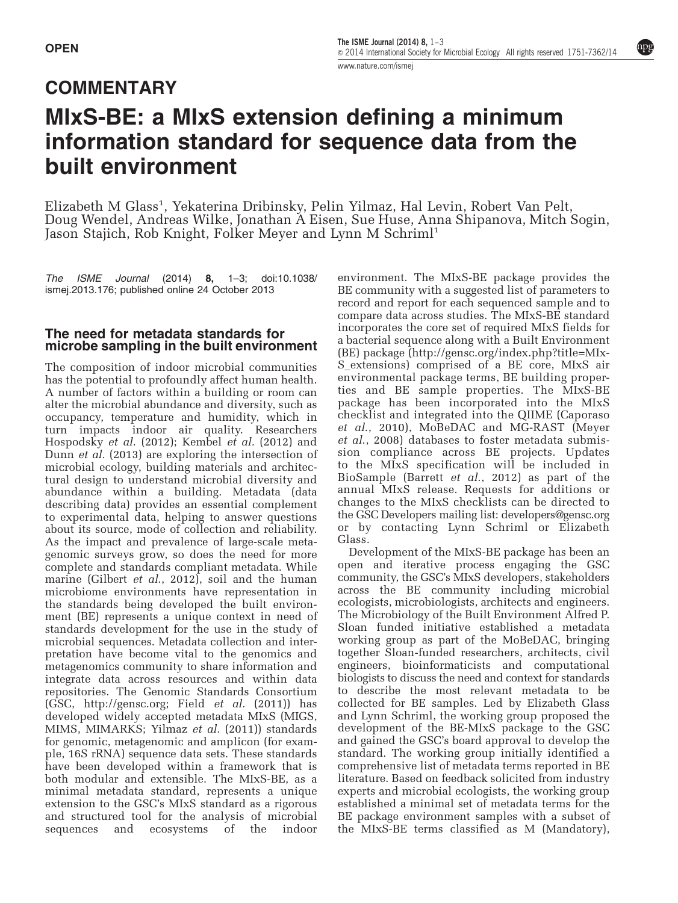## **COMMENTARY**

npg

# MIxS-BE: a MIxS extension defining a minimum information standard for sequence data from the built environment

Elizabeth M Glass<sup>1</sup>, Yekaterina Dribinsky, Pelin Yilmaz, Hal Levin, Robert Van Pelt, Doug Wendel, Andreas Wilke, Jonathan A Eisen, Sue Huse, Anna Shipanova, Mitch Sogin, Jason Stajich, Rob Knight, Folker Meyer and Lynn M Schriml<sup>1</sup>

The ISME Journal (2014) 8, 1–3; doi[:10.1038/](http://dx.doi.org/10.1038/ismej.2013.176) [ismej.2013.176](http://dx.doi.org/10.1038/ismej.2013.176); published online 24 October 2013

### The need for metadata standards for microbe sampling in the built environment

The composition of indoor microbial communities has the potential to profoundly affect human health. A number of factors within a building or room can alter the microbial abundance and diversity, such as occupancy, temperature and humidity, which in turn impacts indoor air quality. Researchers [Hospodsky](#page-2-0) et al. (2012); [Kembel](#page-2-0) et al. (2012) and Dunn et al. [\(2013\)](#page-2-0) are exploring the intersection of microbial ecology, building materials and architectural design to understand microbial diversity and abundance within a building. Metadata (data describing data) provides an essential complement to experimental data, helping to answer questions about its source, mode of collection and reliability. As the impact and prevalence of large-scale metagenomic surveys grow, so does the need for more complete and standards compliant metadata. While marine (Gilbert *et al.*, 2012), soil and the human microbiome environments have representation in the standards being developed the built environment (BE) represents a unique context in need of standards development for the use in the study of microbial sequences. Metadata collection and interpretation have become vital to the genomics and metagenomics community to share information and integrate data across resources and within data repositories. The Genomic Standards Consortium (GSC, [http://gensc.org;](http://gensc.org) Field et al. [\(2011\)\)](#page-2-0) has developed widely accepted metadata MIxS (MIGS, MIMS, MIMARKS; [Yilmaz](#page-3-0) et al. (2011)) standards for genomic, metagenomic and amplicon (for example, 16S rRNA) sequence data sets. These standards have been developed within a framework that is both modular and extensible. The MIxS-BE, as a minimal metadata standard, represents a unique extension to the GSC's MIxS standard as a rigorous and structured tool for the analysis of microbial sequences and ecosystems of the indoor

environment. The MIxS-BE package provides the BE community with a suggested list of parameters to record and report for each sequenced sample and to compare data across studies. The MIxS-BE standard incorporates the core set of required MIxS fields for a bacterial sequence along with a Built Environment (BE) package [\(http://gensc.org/index.php?title=MIx-](http://gensc.org/index.php?title=MIxS_extensions)[S\\_extensions\)](http://gensc.org/index.php?title=MIxS_extensions) comprised of a BE core, MIxS air environmental package terms, BE building properties and BE sample properties. The MIxS-BE package has been incorporated into the MIxS checklist and integrated into the QIIME ([Caporaso](#page-2-0) et al[., 2010\)](#page-2-0), MoBeDAC and MG-RAST [\(Meyer](#page-2-0) et al[., 2008](#page-2-0)) databases to foster metadata submission compliance across BE projects. Updates to the MIxS specification will be included in BioSample (Barrett et al.[, 2012\)](#page-2-0) as part of the annual MIxS release. Requests for additions or changes to the MIxS checklists can be directed to the GSC Developers mailing list: developers@gensc.org or by contacting Lynn Schriml or Elizabeth Glass.

Development of the MIxS-BE package has been an open and iterative process engaging the GSC community, the GSC's MIxS developers, stakeholders across the BE community including microbial ecologists, microbiologists, architects and engineers. The Microbiology of the Built Environment Alfred P. Sloan funded initiative established a metadata working group as part of the MoBeDAC, bringing together Sloan-funded researchers, architects, civil engineers, bioinformaticists and computational biologists to discuss the need and context for standards to describe the most relevant metadata to be collected for BE samples. Led by Elizabeth Glass and Lynn Schriml, the working group proposed the development of the BE-MIxS package to the GSC and gained the GSC's board approval to develop the standard. The working group initially identified a comprehensive list of metadata terms reported in BE literature. Based on feedback solicited from industry experts and microbial ecologists, the working group established a minimal set of metadata terms for the BE package environment samples with a subset of the MIxS-BE terms classified as M (Mandatory),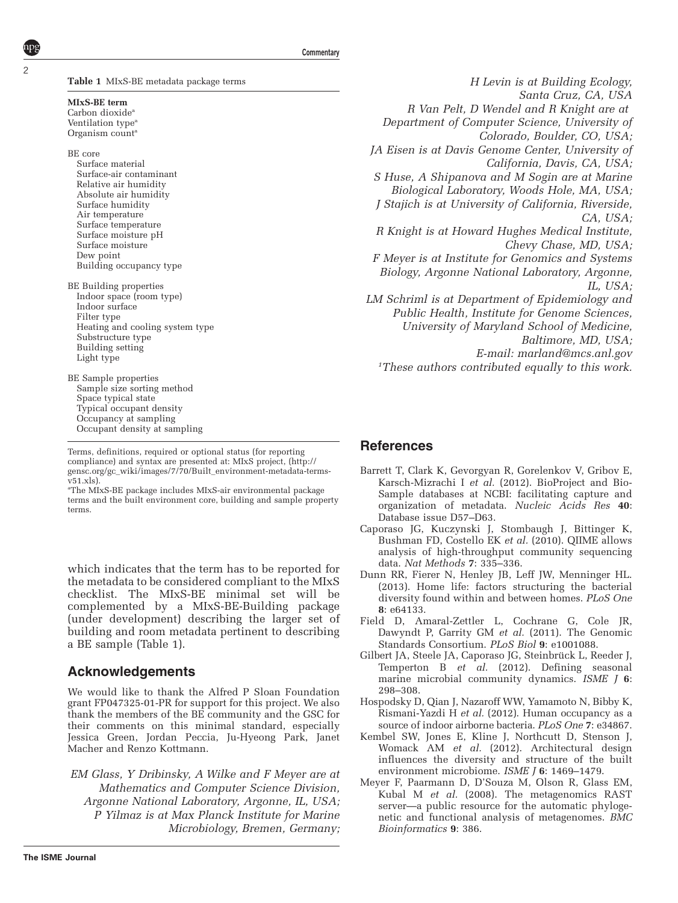<span id="page-2-0"></span>Table 1 MIxS-BE metadata package terms

#### MIxS-BE term

Carbon dioxide<sup>a</sup> Ventilation type<sup>a</sup> Organism count<sup>a</sup>

BE core Surface material Surface-air contaminant Relative air humidity Absolute air humidity Surface humidity Air temperature Surface temperature Surface moisture pH Surface moisture Dew point Building occupancy type

- BE Building properties Indoor space (room type) Indoor surface Filter type Heating and cooling system type Substructure type Building setting Light type
- BE Sample properties Sample size sorting method Space typical state Typical occupant density Occupancy at sampling Occupant density at sampling

Terms, definitions, required or optional status (for reporting compliance) and syntax are presented at: MIxS project, (http:// gensc.org/gc\_wiki/images/7/70/Built\_environment-metadata-terms $v51.xls$ 

a The MIxS-BE package includes MIxS-air environmental package terms and the built environment core, building and sample property terms.

which indicates that the term has to be reported for the metadata to be considered compliant to the MIxS checklist. The MIxS-BE minimal set will be complemented by a MIxS-BE-Building package (under development) describing the larger set of building and room metadata pertinent to describing a BE sample (Table 1).

#### Acknowledgements

We would like to thank the Alfred P Sloan Foundation grant FP047325-01-PR for support for this project. We also thank the members of the BE community and the GSC for their comments on this minimal standard, especially Jessica Green, Jordan Peccia, Ju-Hyeong Park, Janet Macher and Renzo Kottmann.

EM Glass, Y Dribinsky, A Wilke and F Meyer are at Mathematics and Computer Science Division, Argonne National Laboratory, Argonne, IL, USA; P Yilmaz is at Max Planck Institute for Marine Microbiology, Bremen, Germany;

H Levin is at Building Ecology, Santa Cruz, CA, USA R Van Pelt, D Wendel and R Knight are at Department of Computer Science, University of Colorado, Boulder, CO, USA; JA Eisen is at Davis Genome Center, University of California, Davis, CA, USA; S Huse, A Shipanova and M Sogin are at Marine Biological Laboratory, Woods Hole, MA, USA; J Stajich is at University of California, Riverside, CA, USA; R Knight is at Howard Hughes Medical Institute, Chevy Chase, MD, USA; F Meyer is at Institute for Genomics and Systems Biology, Argonne National Laboratory, Argonne, IL, USA; LM Schriml is at Department of Epidemiology and Public Health, Institute for Genome Sciences, University of Maryland School of Medicine, Baltimore, MD, USA; E-mail: [marland@mcs.anl.gov](mailto:marland@mcs.anl.gov) <sup>1</sup>These authors contributed equally to this work.

## **References**

- Barrett T, Clark K, Gevorgyan R, Gorelenkov V, Gribov E, Karsch-Mizrachi I et al. (2012). BioProject and Bio-Sample databases at NCBI: facilitating capture and organization of metadata. Nucleic Acids Res 40: Database issue D57–D63.
- Caporaso JG, Kuczynski J, Stombaugh J, Bittinger K, Bushman FD, Costello EK et al. (2010). QIIME allows analysis of high-throughput community sequencing data. Nat Methods 7: 335–336.
- Dunn RR, Fierer N, Henley JB, Leff JW, Menninger HL. (2013). Home life: factors structuring the bacterial diversity found within and between homes. PLoS One 8: e64133.
- Field D, Amaral-Zettler L, Cochrane G, Cole JR, Dawyndt P, Garrity GM et al. (2011). The Genomic Standards Consortium. PLoS Biol 9: e1001088.
- Gilbert JA, Steele JA, Caporaso JG, Steinbrück L, Reeder J, Temperton B et al. (2012). Defining seasonal marine microbial community dynamics. ISME J 6: 298–308.
- Hospodsky D, Qian J, Nazaroff WW, Yamamoto N, Bibby K, Rismani-Yazdi H et al. (2012). Human occupancy as a source of indoor airborne bacteria. PLoS One 7: e34867.
- Kembel SW, Jones E, Kline J, Northcutt D, Stenson J, Womack AM et al. (2012). Architectural design influences the diversity and structure of the built environment microbiome. ISME J 6: 1469–1479.
- Meyer F, Paarmann D, D'Souza M, Olson R, Glass EM, Kubal M et al. (2008). The metagenomics RAST server—a public resource for the automatic phylogenetic and functional analysis of metagenomes. BMC Bioinformatics 9: 386.